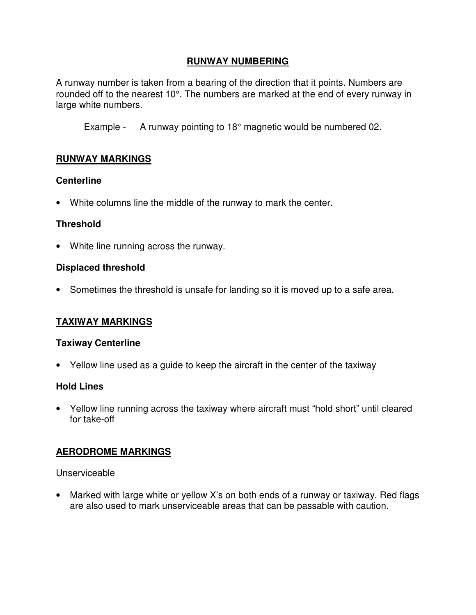## **RUNWAY NUMBERING**

A runway number is taken from a bearing of the direction that it points. Numbers are rounded off to the nearest 10°. The numbers are marked at the end of every runway in large white numbers.

Example - A runway pointing to 18° magnetic would be numbered 02.

## **RUNWAY MARKINGS**

#### **Centerline**

• White columns line the middle of the runway to mark the center.

## **Threshold**

• White line running across the runway.

#### **Displaced threshold**

• Sometimes the threshold is unsafe for landing so it is moved up to a safe area.

## **TAXIWAY MARKINGS**

#### **Taxiway Centerline**

• Yellow line used as a guide to keep the aircraft in the center of the taxiway

#### **Hold Lines**

• Yellow line running across the taxiway where aircraft must "hold short" until cleared for take-off

# **AERODROME MARKINGS**

Unserviceable

• Marked with large white or yellow X's on both ends of a runway or taxiway. Red flags are also used to mark unserviceable areas that can be passable with caution.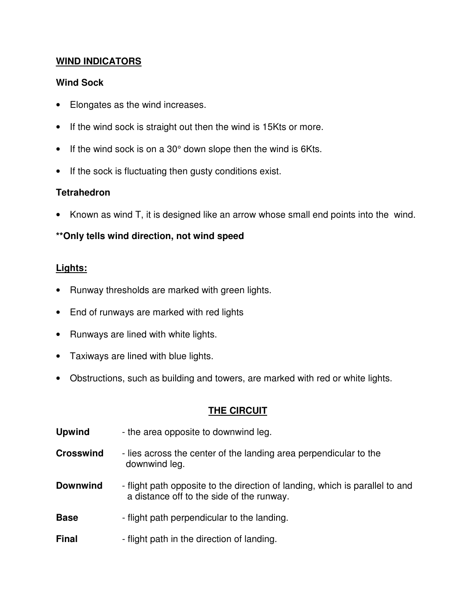## **WIND INDICATORS**

## **Wind Sock**

- Elongates as the wind increases.
- If the wind sock is straight out then the wind is 15Kts or more.
- If the wind sock is on a 30° down slope then the wind is 6Kts.
- If the sock is fluctuating then gusty conditions exist.

# **Tetrahedron**

• Known as wind T, it is designed like an arrow whose small end points into the wind.

# **\*\*Only tells wind direction, not wind speed**

## **Lights:**

- Runway thresholds are marked with green lights.
- End of runways are marked with red lights
- Runways are lined with white lights.
- Taxiways are lined with blue lights.
- Obstructions, such as building and towers, are marked with red or white lights.

## **THE CIRCUIT**

- **Upwind** the area opposite to downwind leg.
- **Crosswind** lies across the center of the landing area perpendicular to the downwind leg.
- **Downwind** flight path opposite to the direction of landing, which is parallel to and a distance off to the side of the runway.
- **Base** flight path perpendicular to the landing.
- **Final** flight path in the direction of landing.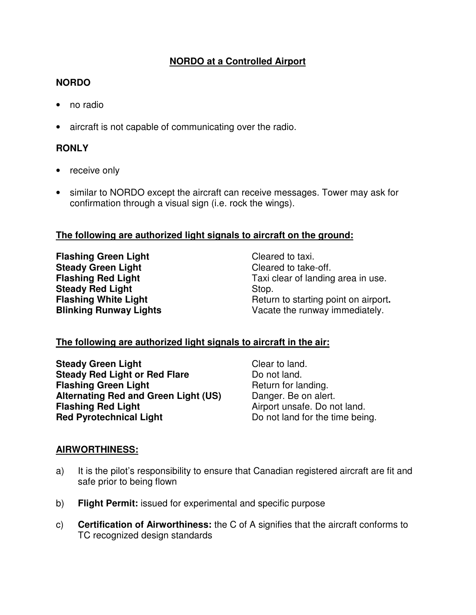# **NORDO at a Controlled Airport**

## **NORDO**

- no radio
- aircraft is not capable of communicating over the radio.

## **RONLY**

- receive only
- similar to NORDO except the aircraft can receive messages. Tower may ask for confirmation through a visual sign (i.e. rock the wings).

#### **The following are authorized light signals to aircraft on the ground:**

**Flashing Green Light**  Cleared to taxi. **Steady Green Light** Cleared to take-off. **Steady Red Light 
Stop. Stop. In the Light Contract Contract Contract Contract Contract Contract Contract Contract Contract Contract Contract Contract Contract Contract Contract Contract Contract Contract Contract Contrac** 

Taxi clear of landing area in use. **Flashing White Light** Return to starting point on airport**. Blinking Runway Lights Vacate the runway immediately.** 

## **The following are authorized light signals to aircraft in the air:**

**Steady Green Light**  Clear to land. **Steady Red Light or Red Flare Do not land. Flashing Green Light**  Return for landing. Alternating Red and Green Light (US) Danger. Be on alert. **Flashing Red Light**   $\blacksquare$  Airport unsafe. Do not land. **Red Pyrotechnical Light**  Do not land for the time being.

## **AIRWORTHINESS:**

- a) It is the pilot's responsibility to ensure that Canadian registered aircraft are fit and safe prior to being flown
- b) **Flight Permit:** issued for experimental and specific purpose
- c) **Certification of Airworthiness:** the C of A signifies that the aircraft conforms to TC recognized design standards